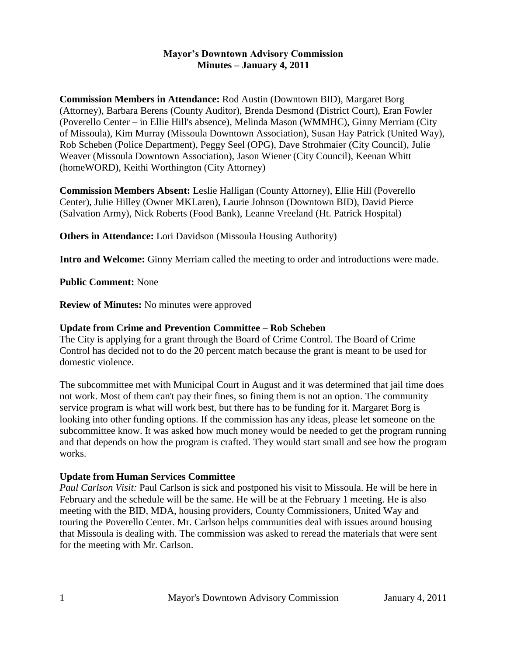### **Mayor's Downtown Advisory Commission Minutes – January 4, 2011**

**Commission Members in Attendance:** Rod Austin (Downtown BID), Margaret Borg (Attorney), Barbara Berens (County Auditor), Brenda Desmond (District Court), Eran Fowler (Poverello Center – in Ellie Hill's absence), Melinda Mason (WMMHC), Ginny Merriam (City of Missoula), Kim Murray (Missoula Downtown Association), Susan Hay Patrick (United Way), Rob Scheben (Police Department), Peggy Seel (OPG), Dave Strohmaier (City Council), Julie Weaver (Missoula Downtown Association), Jason Wiener (City Council), Keenan Whitt (homeWORD), Keithi Worthington (City Attorney)

**Commission Members Absent:** Leslie Halligan (County Attorney), Ellie Hill (Poverello Center), Julie Hilley (Owner MKLaren), Laurie Johnson (Downtown BID), David Pierce (Salvation Army), Nick Roberts (Food Bank), Leanne Vreeland (Ht. Patrick Hospital)

**Others in Attendance:** Lori Davidson (Missoula Housing Authority)

**Intro and Welcome:** Ginny Merriam called the meeting to order and introductions were made.

**Public Comment:** None

**Review of Minutes:** No minutes were approved

## **Update from Crime and Prevention Committee – Rob Scheben**

The City is applying for a grant through the Board of Crime Control. The Board of Crime Control has decided not to do the 20 percent match because the grant is meant to be used for domestic violence.

The subcommittee met with Municipal Court in August and it was determined that jail time does not work. Most of them can't pay their fines, so fining them is not an option. The community service program is what will work best, but there has to be funding for it. Margaret Borg is looking into other funding options. If the commission has any ideas, please let someone on the subcommittee know. It was asked how much money would be needed to get the program running and that depends on how the program is crafted. They would start small and see how the program works.

#### **Update from Human Services Committee**

*Paul Carlson Visit:* Paul Carlson is sick and postponed his visit to Missoula. He will be here in February and the schedule will be the same. He will be at the February 1 meeting. He is also meeting with the BID, MDA, housing providers, County Commissioners, United Way and touring the Poverello Center. Mr. Carlson helps communities deal with issues around housing that Missoula is dealing with. The commission was asked to reread the materials that were sent for the meeting with Mr. Carlson.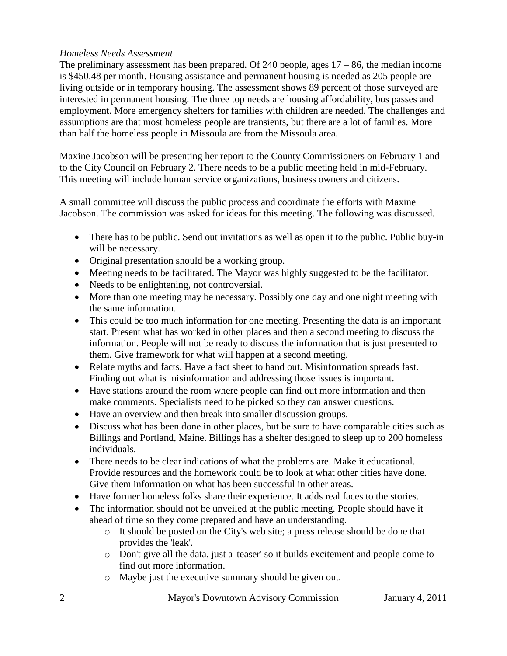# *Homeless Needs Assessment*

The preliminary assessment has been prepared. Of 240 people, ages  $17 - 86$ , the median income is \$450.48 per month. Housing assistance and permanent housing is needed as 205 people are living outside or in temporary housing. The assessment shows 89 percent of those surveyed are interested in permanent housing. The three top needs are housing affordability, bus passes and employment. More emergency shelters for families with children are needed. The challenges and assumptions are that most homeless people are transients, but there are a lot of families. More than half the homeless people in Missoula are from the Missoula area.

Maxine Jacobson will be presenting her report to the County Commissioners on February 1 and to the City Council on February 2. There needs to be a public meeting held in mid-February. This meeting will include human service organizations, business owners and citizens.

A small committee will discuss the public process and coordinate the efforts with Maxine Jacobson. The commission was asked for ideas for this meeting. The following was discussed.

- There has to be public. Send out invitations as well as open it to the public. Public buy-in will be necessary.
- Original presentation should be a working group.
- Meeting needs to be facilitated. The Mayor was highly suggested to be the facilitator.
- Needs to be enlightening, not controversial.
- More than one meeting may be necessary. Possibly one day and one night meeting with the same information.
- This could be too much information for one meeting. Presenting the data is an important start. Present what has worked in other places and then a second meeting to discuss the information. People will not be ready to discuss the information that is just presented to them. Give framework for what will happen at a second meeting.
- Relate myths and facts. Have a fact sheet to hand out. Misinformation spreads fast. Finding out what is misinformation and addressing those issues is important.
- Have stations around the room where people can find out more information and then make comments. Specialists need to be picked so they can answer questions.
- Have an overview and then break into smaller discussion groups.
- Discuss what has been done in other places, but be sure to have comparable cities such as Billings and Portland, Maine. Billings has a shelter designed to sleep up to 200 homeless individuals.
- There needs to be clear indications of what the problems are. Make it educational. Provide resources and the homework could be to look at what other cities have done. Give them information on what has been successful in other areas.
- Have former homeless folks share their experience. It adds real faces to the stories.
- The information should not be unveiled at the public meeting. People should have it ahead of time so they come prepared and have an understanding.
	- o It should be posted on the City's web site; a press release should be done that provides the 'leak'.
	- o Don't give all the data, just a 'teaser' so it builds excitement and people come to find out more information.
	- o Maybe just the executive summary should be given out.